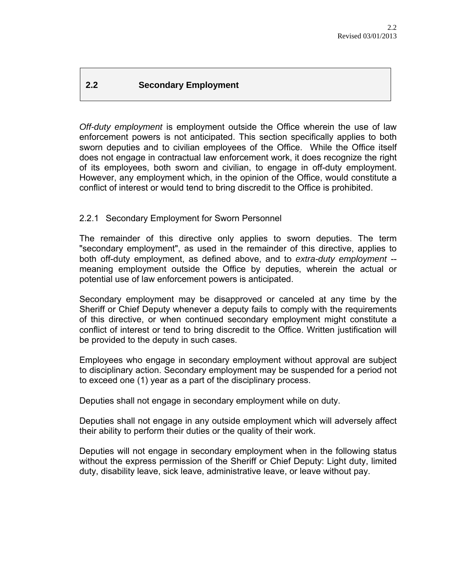# **2.2 Secondary Employment**

*Off-duty employment* is employment outside the Office wherein the use of law enforcement powers is not anticipated. This section specifically applies to both sworn deputies and to civilian employees of the Office. While the Office itself does not engage in contractual law enforcement work, it does recognize the right of its employees, both sworn and civilian, to engage in off-duty employment. However, any employment which, in the opinion of the Office, would constitute a conflict of interest or would tend to bring discredit to the Office is prohibited.

### 2.2.1 Secondary Employment for Sworn Personnel

The remainder of this directive only applies to sworn deputies. The term "secondary employment", as used in the remainder of this directive, applies to both off-duty employment, as defined above, and to *extra-duty employment* - meaning employment outside the Office by deputies, wherein the actual or potential use of law enforcement powers is anticipated.

Secondary employment may be disapproved or canceled at any time by the Sheriff or Chief Deputy whenever a deputy fails to comply with the requirements of this directive, or when continued secondary employment might constitute a conflict of interest or tend to bring discredit to the Office. Written justification will be provided to the deputy in such cases.

Employees who engage in secondary employment without approval are subject to disciplinary action. Secondary employment may be suspended for a period not to exceed one (1) year as a part of the disciplinary process.

Deputies shall not engage in secondary employment while on duty.

Deputies shall not engage in any outside employment which will adversely affect their ability to perform their duties or the quality of their work.

Deputies will not engage in secondary employment when in the following status without the express permission of the Sheriff or Chief Deputy: Light duty, limited duty, disability leave, sick leave, administrative leave, or leave without pay.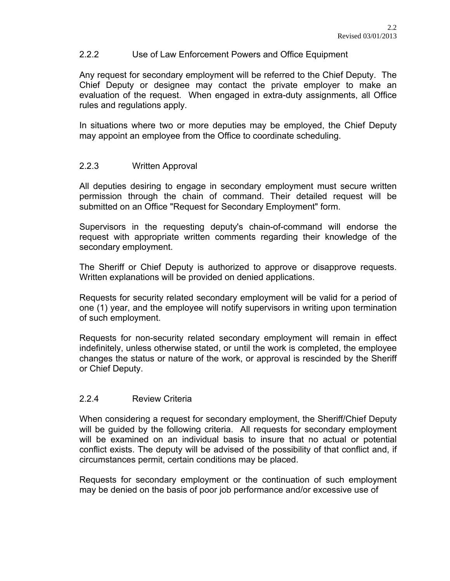### 2.2.2 Use of Law Enforcement Powers and Office Equipment

Any request for secondary employment will be referred to the Chief Deputy. The Chief Deputy or designee may contact the private employer to make an evaluation of the request. When engaged in extra-duty assignments, all Office rules and regulations apply.

In situations where two or more deputies may be employed, the Chief Deputy may appoint an employee from the Office to coordinate scheduling.

#### 2.2.3 Written Approval

All deputies desiring to engage in secondary employment must secure written permission through the chain of command. Their detailed request will be submitted on an Office "Request for Secondary Employment" form.

Supervisors in the requesting deputy's chain-of-command will endorse the request with appropriate written comments regarding their knowledge of the secondary employment.

The Sheriff or Chief Deputy is authorized to approve or disapprove requests. Written explanations will be provided on denied applications.

Requests for security related secondary employment will be valid for a period of one (1) year, and the employee will notify supervisors in writing upon termination of such employment.

Requests for non-security related secondary employment will remain in effect indefinitely, unless otherwise stated, or until the work is completed, the employee changes the status or nature of the work, or approval is rescinded by the Sheriff or Chief Deputy.

### 2.2.4 Review Criteria

When considering a request for secondary employment, the Sheriff/Chief Deputy will be guided by the following criteria. All requests for secondary employment will be examined on an individual basis to insure that no actual or potential conflict exists. The deputy will be advised of the possibility of that conflict and, if circumstances permit, certain conditions may be placed.

Requests for secondary employment or the continuation of such employment may be denied on the basis of poor job performance and/or excessive use of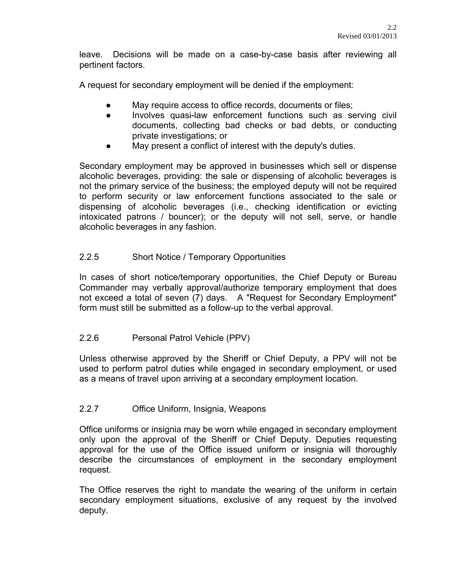leave. Decisions will be made on a case-by-case basis after reviewing all pertinent factors.

A request for secondary employment will be denied if the employment:

- May require access to office records, documents or files;
- Involves quasi-law enforcement functions such as serving civil documents, collecting bad checks or bad debts, or conducting private investigations; or
- May present a conflict of interest with the deputy's duties.

Secondary employment may be approved in businesses which sell or dispense alcoholic beverages, providing: the sale or dispensing of alcoholic beverages is not the primary service of the business; the employed deputy will not be required to perform security or law enforcement functions associated to the sale or dispensing of alcoholic beverages (i.e., checking identification or evicting intoxicated patrons / bouncer); or the deputy will not sell, serve, or handle alcoholic beverages in any fashion.

# 2.2.5 Short Notice / Temporary Opportunities

In cases of short notice/temporary opportunities, the Chief Deputy or Bureau Commander may verbally approval/authorize temporary employment that does not exceed a total of seven (7) days. A "Request for Secondary Employment" form must still be submitted as a follow-up to the verbal approval.

## 2.2.6 Personal Patrol Vehicle (PPV)

Unless otherwise approved by the Sheriff or Chief Deputy, a PPV will not be used to perform patrol duties while engaged in secondary employment, or used as a means of travel upon arriving at a secondary employment location.

## 2.2.7 Office Uniform, Insignia, Weapons

Office uniforms or insignia may be worn while engaged in secondary employment only upon the approval of the Sheriff or Chief Deputy. Deputies requesting approval for the use of the Office issued uniform or insignia will thoroughly describe the circumstances of employment in the secondary employment request.

The Office reserves the right to mandate the wearing of the uniform in certain secondary employment situations, exclusive of any request by the involved deputy.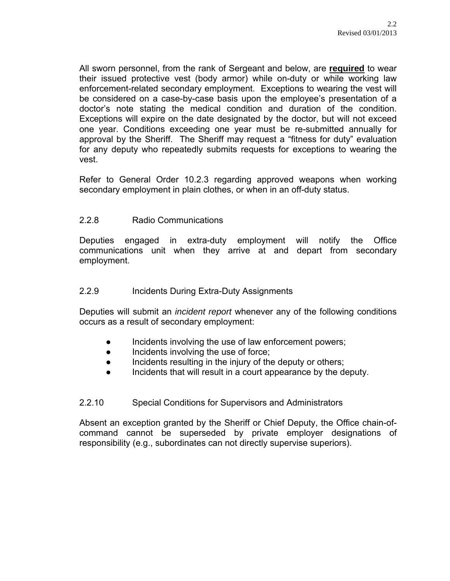All sworn personnel, from the rank of Sergeant and below, are **required** to wear their issued protective vest (body armor) while on-duty or while working law enforcement-related secondary employment. Exceptions to wearing the vest will be considered on a case-by-case basis upon the employee's presentation of a doctor's note stating the medical condition and duration of the condition. Exceptions will expire on the date designated by the doctor, but will not exceed one year. Conditions exceeding one year must be re-submitted annually for approval by the Sheriff. The Sheriff may request a "fitness for duty" evaluation for any deputy who repeatedly submits requests for exceptions to wearing the vest.

Refer to General Order 10.2.3 regarding approved weapons when working secondary employment in plain clothes, or when in an off-duty status.

### 2.2.8 Radio Communications

Deputies engaged in extra-duty employment will notify the Office communications unit when they arrive at and depart from secondary employment.

#### 2.2.9 Incidents During Extra-Duty Assignments

Deputies will submit an *incident report* whenever any of the following conditions occurs as a result of secondary employment:

- Incidents involving the use of law enforcement powers;
- Incidents involving the use of force;
- Incidents resulting in the injury of the deputy or others;
- Incidents that will result in a court appearance by the deputy.

### 2.2.10 Special Conditions for Supervisors and Administrators

Absent an exception granted by the Sheriff or Chief Deputy, the Office chain-ofcommand cannot be superseded by private employer designations of responsibility (e.g., subordinates can not directly supervise superiors).